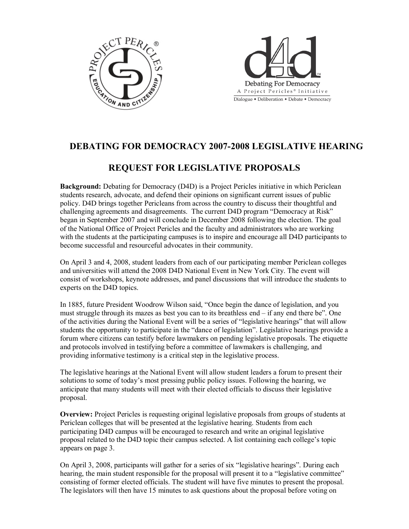



# **DEBATING FOR DEMOCRACY 2007-2008 LEGISLATIVE HEARING**

# **REQUEST FOR LEGISLATIVE PROPOSALS**

**Background:** Debating for Democracy (D4D) is a Project Pericles initiative in which Periclean students research, advocate, and defend their opinions on significant current issues of public policy. D4D brings together Pericleans from across the country to discuss their thoughtful and challenging agreements and disagreements. The current D4D program "Democracy at Risk" began in September 2007 and will conclude in December 2008 following the election. The goal of the National Office of Project Pericles and the faculty and administrators who are working with the students at the participating campuses is to inspire and encourage all D4D participants to become successful and resourceful advocates in their community.

On April 3 and 4, 2008, student leaders from each of our participating member Periclean colleges and universities will attend the 2008 D4D National Event in New York City. The event will consist of workshops, keynote addresses, and panel discussions that will introduce the students to experts on the D4D topics.

In 1885, future President Woodrow Wilson said, "Once begin the dance of legislation, and you must struggle through its mazes as best you can to its breathless end – if any end there be". One of the activities during the National Event will be a series of "legislative hearings" that will allow students the opportunity to participate in the "dance of legislation". Legislative hearings provide a forum where citizens can testify before lawmakers on pending legislative proposals. The etiquette and protocols involved in testifying before a committee of lawmakers is challenging, and providing informative testimony is a critical step in the legislative process.

The legislative hearings at the National Event will allow student leaders a forum to present their solutions to some of today's most pressing public policy issues. Following the hearing, we anticipate that many students will meet with their elected officials to discuss their legislative proposal.

**Overview:** Project Pericles is requesting original legislative proposals from groups of students at Periclean colleges that will be presented at the legislative hearing. Students from each participating D4D campus will be encouraged to research and write an original legislative proposal related to the D4D topic their campus selected. A list containing each college's topic appears on page 3.

On April 3, 2008, participants will gather for a series of six "legislative hearings". During each hearing, the main student responsible for the proposal will present it to a "legislative committee" consisting of former elected officials. The student will have five minutes to present the proposal. The legislators will then have 15 minutes to ask questions about the proposal before voting on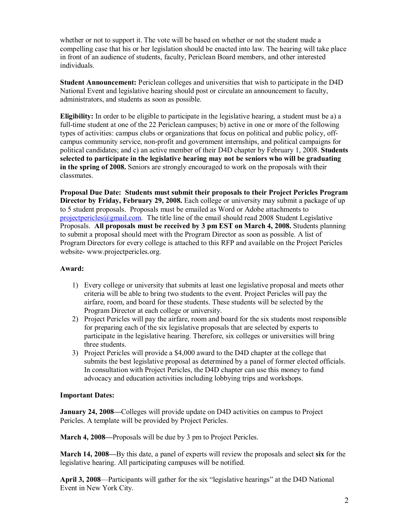whether or not to support it. The vote will be based on whether or not the student made a compelling case that his or her legislation should be enacted into law. The hearing will take place in front of an audience of students, faculty, Periclean Board members, and other interested individuals.

**Student Announcement:** Periclean colleges and universities that wish to participate in the D4D National Event and legislative hearing should post or circulate an announcement to faculty, administrators, and students as soon as possible.

**Eligibility:** In order to be eligible to participate in the legislative hearing, a student must be a) a full-time student at one of the 22 Periclean campuses; b) active in one or more of the following types of activities: campus clubs or organizations that focus on political and public policy, offcampus community service, non-profit and government internships, and political campaigns for political candidates; and c) an active member of their D4D chapter by February 1, 2008. **Students selected to participate in the legislative hearing may not be seniors who will be graduating in the spring of 2008.** Seniors are strongly encouraged to work on the proposals with their classmates.

**Proposal Due Date: Students must submit their proposals to their Project Pericles Program Director by Friday, February 29, 2008.** Each college or university may submit a package of up to 5 student proposals. Proposals must be emailed as Word or Adobe attachments to projectpericles@gmail.com. The title line of the email should read 2008 Student Legislative Proposals. **All proposals must be received by 3 pm EST on March 4, 2008.** Students planning to submit a proposal should meet with the Program Director as soon as possible. A list of Program Directors for every college is attached to this RFP and available on the Project Pericles website- www.projectpericles.org.

### **Award:**

- 1) Every college or university that submits at least one legislative proposal and meets other criteria will be able to bring two students to the event. Project Pericles will pay the airfare, room, and board for these students. These students will be selected by the Program Director at each college or university.
- 2) Project Pericles will pay the airfare, room and board for the six students most responsible for preparing each of the six legislative proposals that are selected by experts to participate in the legislative hearing. Therefore, six colleges or universities will bring three students.
- 3) Project Pericles will provide a \$4,000 award to the D4D chapter at the college that submits the best legislative proposal as determined by a panel of former elected officials. In consultation with Project Pericles, the D4D chapter can use this money to fund advocacy and education activities including lobbying trips and workshops.

### **Important Dates:**

**January 24, 2008—**Colleges will provide update on D4D activities on campus to Project Pericles. A template will be provided by Project Pericles.

**March 4, 2008—**Proposals will be due by 3 pm to Project Pericles.

**March 14, 2008—**By this date, a panel of experts will review the proposals and select **six** for the legislative hearing. All participating campuses will be notified.

**April 3, 2008**—Participants will gather for the six "legislative hearings" at the D4D National Event in New York City.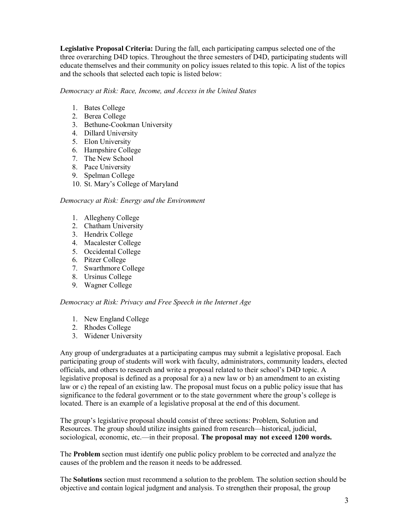**Legislative Proposal Criteria:** During the fall, each participating campus selected one of the three overarching D4D topics. Throughout the three semesters of D4D, participating students will educate themselves and their community on policy issues related to this topic. A list of the topics and the schools that selected each topic is listed below:

*Democracy at Risk: Race, Income, and Access in the United States* 

- 1. Bates College
- 2. Berea College
- 3. Bethune-Cookman University
- 4. Dillard University
- 5. Elon University
- 6. Hampshire College
- 7. The New School
- 8. Pace University
- 9. Spelman College
- 10. St. Mary's College of Maryland

#### *Democracy at Risk: Energy and the Environment*

- 1. Allegheny College
- 2. Chatham University
- 3. Hendrix College
- 4. Macalester College
- 5. Occidental College
- 6. Pitzer College
- 7. Swarthmore College
- 8. Ursinus College
- 9. Wagner College

### *Democracy at Risk: Privacy and Free Speech in the Internet Age*

- 1. New England College
- 2. Rhodes College
- 3. Widener University

Any group of undergraduates at a participating campus may submit a legislative proposal. Each participating group of students will work with faculty, administrators, community leaders, elected officials, and others to research and write a proposal related to their school's D4D topic. A legislative proposal is defined as a proposal for a) a new law or b) an amendment to an existing law or c) the repeal of an existing law. The proposal must focus on a public policy issue that has significance to the federal government or to the state government where the group's college is located. There is an example of a legislative proposal at the end of this document.

The group's legislative proposal should consist of three sections: Problem, Solution and Resources. The group should utilize insights gained from research—historical, judicial, sociological, economic, etc.—in their proposal. **The proposal may not exceed 1200 words.**

The **Problem** section must identify one public policy problem to be corrected and analyze the causes of the problem and the reason it needs to be addressed.

The **Solutions** section must recommend a solution to the problem. The solution section should be objective and contain logical judgment and analysis. To strengthen their proposal, the group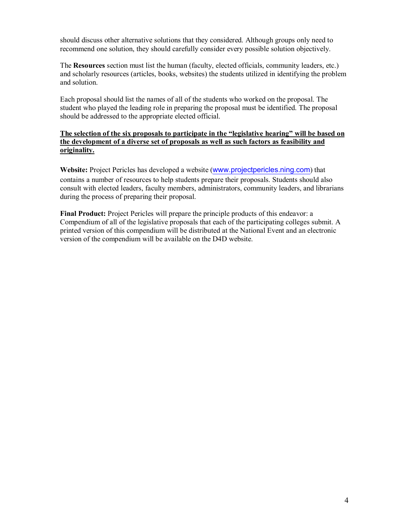should discuss other alternative solutions that they considered. Although groups only need to recommend one solution, they should carefully consider every possible solution objectively.

The **Resources** section must list the human (faculty, elected officials, community leaders, etc.) and scholarly resources (articles, books, websites) the students utilized in identifying the problem and solution.

Each proposal should list the names of all of the students who worked on the proposal. The student who played the leading role in preparing the proposal must be identified. The proposal should be addressed to the appropriate elected official.

### **The selection of the six proposals to participate in the "legislative hearing" will be based on the development of a diverse set of proposals as well as such factors as feasibility and originality.**

**Website:** Project Pericles has developed a website (www.projectpericles.ning.com) that contains a number of resources to help students prepare their proposals. Students should also consult with elected leaders, faculty members, administrators, community leaders, and librarians during the process of preparing their proposal.

**Final Product:** Project Pericles will prepare the principle products of this endeavor: a Compendium of all of the legislative proposals that each of the participating colleges submit. A printed version of this compendium will be distributed at the National Event and an electronic version of the compendium will be available on the D4D website.